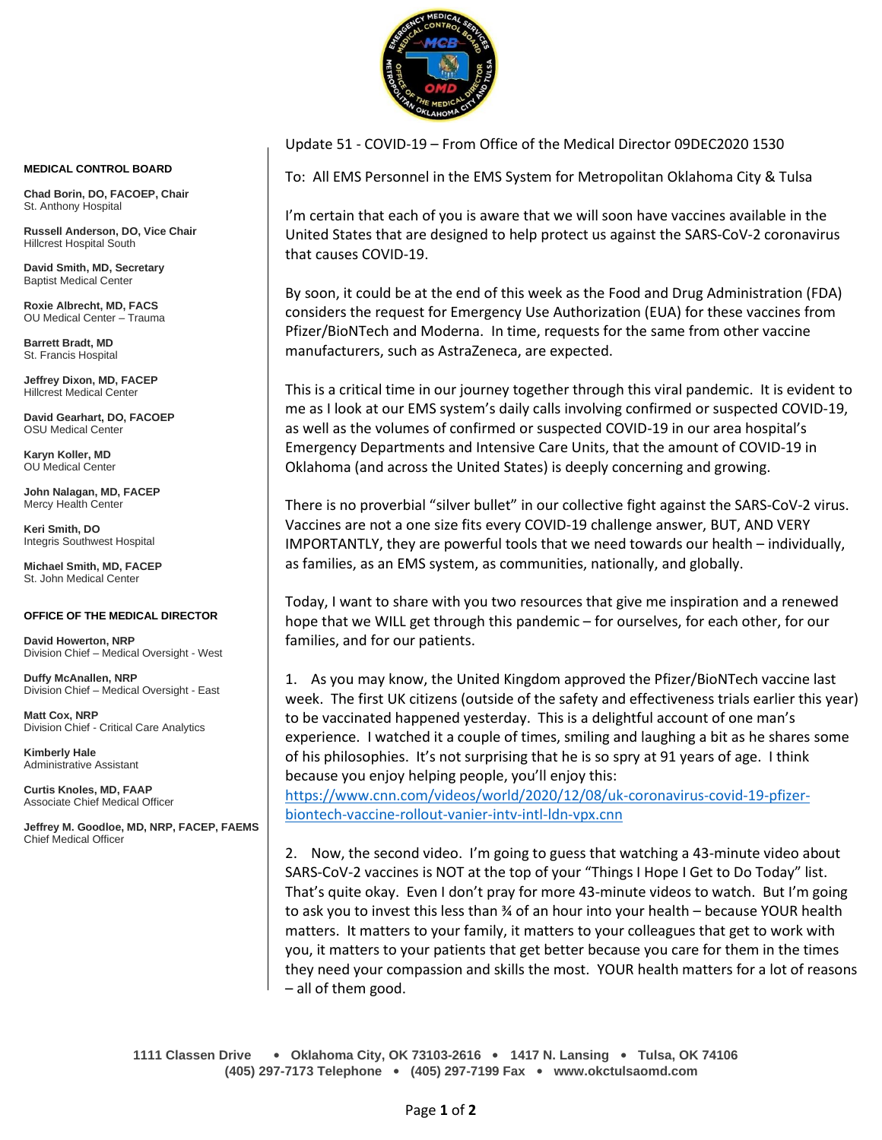

Update 51 - COVID-19 – From Office of the Medical Director 09DEC2020 1530

To: All EMS Personnel in the EMS System for Metropolitan Oklahoma City & Tulsa

I'm certain that each of you is aware that we will soon have vaccines available in the United States that are designed to help protect us against the SARS-CoV-2 coronavirus that causes COVID-19.

By soon, it could be at the end of this week as the Food and Drug Administration (FDA) considers the request for Emergency Use Authorization (EUA) for these vaccines from Pfizer/BioNTech and Moderna. In time, requests for the same from other vaccine manufacturers, such as AstraZeneca, are expected.

This is a critical time in our journey together through this viral pandemic. It is evident to me as I look at our EMS system's daily calls involving confirmed or suspected COVID-19, as well as the volumes of confirmed or suspected COVID-19 in our area hospital's Emergency Departments and Intensive Care Units, that the amount of COVID-19 in Oklahoma (and across the United States) is deeply concerning and growing.

There is no proverbial "silver bullet" in our collective fight against the SARS-CoV-2 virus. Vaccines are not a one size fits every COVID-19 challenge answer, BUT, AND VERY IMPORTANTLY, they are powerful tools that we need towards our health – individually, as families, as an EMS system, as communities, nationally, and globally.

Today, I want to share with you two resources that give me inspiration and a renewed hope that we WILL get through this pandemic – for ourselves, for each other, for our families, and for our patients.

1. As you may know, the United Kingdom approved the Pfizer/BioNTech vaccine last week. The first UK citizens (outside of the safety and effectiveness trials earlier this year) to be vaccinated happened yesterday. This is a delightful account of one man's experience. I watched it a couple of times, smiling and laughing a bit as he shares some of his philosophies. It's not surprising that he is so spry at 91 years of age. I think because you enjoy helping people, you'll enjoy this:

[https://www.cnn.com/videos/world/2020/12/08/uk-coronavirus-covid-19-pfizer](https://www.cnn.com/videos/world/2020/12/08/uk-coronavirus-covid-19-pfizer-biontech-vaccine-rollout-vanier-intv-intl-ldn-vpx.cnn)[biontech-vaccine-rollout-vanier-intv-intl-ldn-vpx.cnn](https://www.cnn.com/videos/world/2020/12/08/uk-coronavirus-covid-19-pfizer-biontech-vaccine-rollout-vanier-intv-intl-ldn-vpx.cnn)

2. Now, the second video. I'm going to guess that watching a 43-minute video about SARS-CoV-2 vaccines is NOT at the top of your "Things I Hope I Get to Do Today" list. That's quite okay. Even I don't pray for more 43-minute videos to watch. But I'm going to ask you to invest this less than ¾ of an hour into your health – because YOUR health matters. It matters to your family, it matters to your colleagues that get to work with you, it matters to your patients that get better because you care for them in the times they need your compassion and skills the most. YOUR health matters for a lot of reasons – all of them good.

## **MEDICAL CONTROL BOARD**

**Chad Borin, DO, FACOEP, Chair**  St. Anthony Hospital

**Russell Anderson, DO, Vice Chair** Hillcrest Hospital South

**David Smith, MD, Secretary** Baptist Medical Center

**Roxie Albrecht, MD, FACS** OU Medical Center – Trauma

**Barrett Bradt, MD** St. Francis Hospital

**Jeffrey Dixon, MD, FACEP** Hillcrest Medical Center

**David Gearhart, DO, FACOEP** OSU Medical Center

**Karyn Koller, MD** OU Medical Center

**John Nalagan, MD, FACEP** Mercy Health Center

**Keri Smith, DO** Integris Southwest Hospital

**Michael Smith, MD, FACEP** St. John Medical Center

## **OFFICE OF THE MEDICAL DIRECTOR**

**David Howerton, NRP** Division Chief – Medical Oversight - West

**Duffy McAnallen, NRP** Division Chief – Medical Oversight - East

**Matt Cox, NRP** Division Chief - Critical Care Analytics

**Kimberly Hale** Administrative Assistant

**Curtis Knoles, MD, FAAP** Associate Chief Medical Officer

**Jeffrey M. Goodloe, MD, NRP, FACEP, FAEMS** Chief Medical Officer